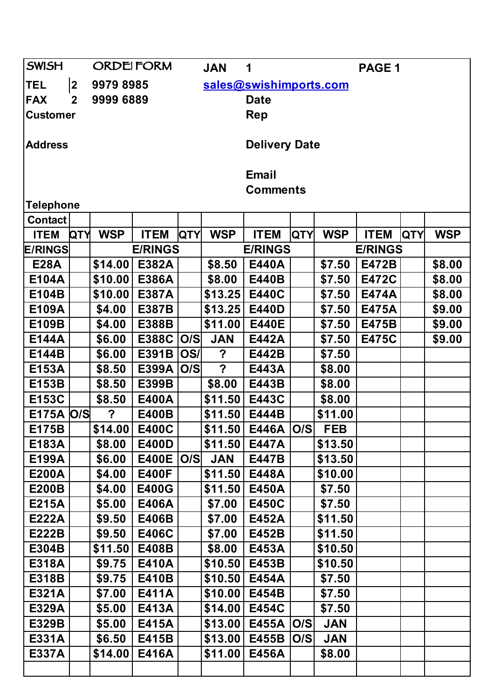| <b>SWISH</b>     |              | <b>ORDEIFORM</b> |                |            | <b>JAN</b>       | 1                      |            |                | PAGE 1       |            |            |  |
|------------------|--------------|------------------|----------------|------------|------------------|------------------------|------------|----------------|--------------|------------|------------|--|
| <b>TEL</b>       | $ 2\rangle$  | 9979 8985        |                |            |                  | sales@swishimports.com |            |                |              |            |            |  |
| <b>FAX</b>       | $\mathbf{2}$ | 9999 6889        |                |            |                  | <b>Date</b>            |            |                |              |            |            |  |
| <b>Customer</b>  |              |                  |                |            |                  | Rep                    |            |                |              |            |            |  |
| <b>Address</b>   |              |                  |                |            |                  | <b>Delivery Date</b>   |            |                |              |            |            |  |
|                  |              |                  |                |            |                  |                        |            |                |              |            |            |  |
|                  |              |                  |                |            |                  | <b>Email</b>           |            |                |              |            |            |  |
|                  |              |                  |                |            | <b>Comments</b>  |                        |            |                |              |            |            |  |
| <b>Telephone</b> |              |                  |                |            |                  |                        |            |                |              |            |            |  |
| <b>Contact</b>   |              |                  |                |            |                  |                        |            |                |              |            |            |  |
| <b>ITEM</b>      | <b>QTY</b>   | <b>WSP</b>       | <b>ITEM</b>    | <b>QTY</b> | <b>WSP</b>       | <b>ITEM</b>            | <b>QTY</b> | <b>WSP</b>     | <b>ITEM</b>  | <b>QTY</b> | <b>WSP</b> |  |
| <b>E/RINGS</b>   |              |                  | <b>E/RINGS</b> |            |                  | <b>E/RINGS</b>         |            | <b>E/RINGS</b> |              |            |            |  |
| <b>E28A</b>      |              | \$14.00          | E382A          |            | \$8.50           | E440A                  |            | \$7.50         | E472B        |            | \$8.00     |  |
| E104A            |              | \$10.00          | E386A          |            | \$8.00           | E440B                  |            | \$7.50         | <b>E472C</b> |            | \$8.00     |  |
| E104B            |              | \$10.00          | E387A          |            | \$13.25          | <b>E440C</b>           |            | \$7.50         | <b>E474A</b> |            | \$8.00     |  |
| E109A            |              | \$4.00           | <b>E387B</b>   |            | \$13.25          | E440D                  |            | \$7.50         | E475A        |            | \$9.00     |  |
| E109B            |              | \$4.00           | E388B          |            | \$11.00          | <b>E440E</b>           |            | \$7.50         | E475B        |            | \$9.00     |  |
| E144A            |              | \$6.00           | E388C   O/S    |            | <b>JAN</b>       | E442A                  |            | \$7.50         | <b>E475C</b> |            | \$9.00     |  |
| E144B            |              | \$6.00           | E391B          | <b>OS/</b> | $\boldsymbol{?}$ | E442B                  |            | \$7.50         |              |            |            |  |
| E153A            |              | \$8.50           | E399A   O/S    |            | $\overline{?}$   | E443A                  |            | \$8.00         |              |            |            |  |
| E153B            |              | \$8.50           | E399B          |            | \$8.00           | E443B                  |            | \$8.00         |              |            |            |  |
| E153C            |              | \$8.50           | E400A          |            | \$11.50          | E443C                  |            | \$8.00         |              |            |            |  |
| E175A   O/S      |              | ?                | E400B          |            | \$11.50          | E444B                  |            | \$11.00        |              |            |            |  |
| E175B            |              | \$14.00          | <b>E400C</b>   |            |                  | \$11.50 E446A O/S      |            | <b>FEB</b>     |              |            |            |  |
| E183A            |              | \$8.00           | E400D          |            | \$11.50          | E447A                  |            | \$13.50        |              |            |            |  |
| E199A            |              | \$6.00           | E400E   O/S    |            | <b>JAN</b>       | E447B                  |            | \$13.50        |              |            |            |  |
| <b>E200A</b>     |              | \$4.00           | <b>E400F</b>   |            | \$11.50          | E448A                  |            | \$10.00        |              |            |            |  |
| <b>E200B</b>     |              | \$4.00           | <b>E400G</b>   |            | \$11.50          | E450A                  |            | \$7.50         |              |            |            |  |
| E215A            |              | \$5.00           | E406A          |            | \$7.00           | E450C                  |            | \$7.50         |              |            |            |  |
| <b>E222A</b>     |              | \$9.50           | E406B          |            | \$7.00           | E452A                  |            | \$11.50        |              |            |            |  |
| <b>E222B</b>     |              | \$9.50           | E406C          |            | \$7.00           | E452B                  |            | \$11.50        |              |            |            |  |
| E304B            |              | \$11.50          | E408B          |            | \$8.00           | E453A                  |            | \$10.50        |              |            |            |  |
| <b>E318A</b>     |              | \$9.75           | E410A          |            | \$10.50          | E453B                  |            | \$10.50        |              |            |            |  |
| <b>E318B</b>     |              | \$9.75           | E410B          |            | \$10.50          | E454A                  |            | \$7.50         |              |            |            |  |
| E321A            |              | \$7.00           | E411A          |            | \$10.00          | E454B                  |            | \$7.50         |              |            |            |  |
| E329A            |              | \$5.00           | E413A          |            | \$14.00          | E454C                  |            | \$7.50         |              |            |            |  |
| E329B            |              | \$5.00           | E415A          |            | \$13.00          | E455A                  | O/S        | <b>JAN</b>     |              |            |            |  |
| E331A            |              | \$6.50           | E415B          |            | \$13.00          | E455B                  | O/S        | <b>JAN</b>     |              |            |            |  |
| E337A            |              | \$14.00          | E416A          |            | \$11.00          | E456A                  |            | \$8.00         |              |            |            |  |
|                  |              |                  |                |            |                  |                        |            |                |              |            |            |  |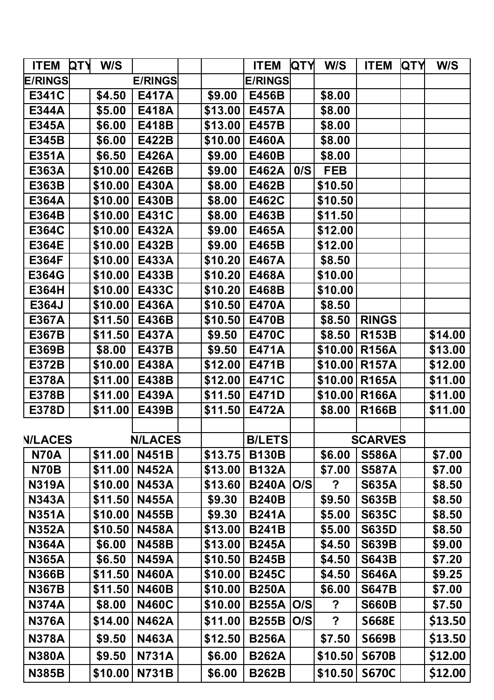| <b>ITEM</b>    | <b>QTY</b> | W/S     |                |         | <b>ITEM</b>        | <b>QTY</b> | W/S            | <b>ITEM</b>    | <b>QTY</b> | W/S     |
|----------------|------------|---------|----------------|---------|--------------------|------------|----------------|----------------|------------|---------|
| <b>E/RINGS</b> |            |         | <b>E/RINGS</b> |         | <b>E/RINGS</b>     |            |                |                |            |         |
| E341C          |            | \$4.50  | <b>E417A</b>   | \$9.00  | E456B              |            | \$8.00         |                |            |         |
| E344A          |            | \$5.00  | E418A          | \$13.00 | E457A              |            | \$8.00         |                |            |         |
| E345A          |            | \$6.00  | E418B          | \$13.00 | <b>E457B</b>       |            | \$8.00         |                |            |         |
| E345B          |            | \$6.00  | E422B          | \$10.00 | E460A              |            | \$8.00         |                |            |         |
| E351A          |            | \$6.50  | E426A          | \$9.00  | E460B              |            | \$8.00         |                |            |         |
| E363A          |            | \$10.00 | E426B          | \$9.00  | E462A              | 0/S        | <b>FEB</b>     |                |            |         |
| E363B          |            | \$10.00 | E430A          | \$8.00  | E462B              |            | \$10.50        |                |            |         |
| E364A          |            | \$10.00 | E430B          | \$8.00  | E462C              |            | \$10.50        |                |            |         |
| E364B          |            | \$10.00 | E431C          | \$8.00  | E463B              |            | \$11.50        |                |            |         |
| E364C          |            | \$10.00 | E432A          | \$9.00  | E465A              |            | \$12.00        |                |            |         |
| <b>E364E</b>   |            | \$10.00 | E432B          | \$9.00  | E465B              |            | \$12.00        |                |            |         |
| <b>E364F</b>   |            | \$10.00 | E433A          | \$10.20 | E467A              |            | \$8.50         |                |            |         |
| E364G          |            | \$10.00 | E433B          | \$10.20 | E468A              |            | \$10.00        |                |            |         |
| E364H          |            | \$10.00 | E433C          | \$10.20 | E468B              |            | \$10.00        |                |            |         |
| E364J          |            | \$10.00 | E436A          | \$10.50 | E470A              |            | \$8.50         |                |            |         |
| <b>E367A</b>   |            | \$11.50 | E436B          | \$10.50 | <b>E470B</b>       |            | \$8.50         | <b>RINGS</b>   |            |         |
| <b>E367B</b>   |            | \$11.50 | E437A          | \$9.50  | <b>E470C</b>       |            | \$8.50         | <b>R153B</b>   |            | \$14.00 |
| E369B          |            | \$8.00  | E437B          | \$9.50  | E471A              |            | \$10.00        | <b>R156A</b>   |            | \$13.00 |
| E372B          |            | \$10.00 | E438A          | \$12.00 | E471B              |            | \$10.00        | <b>R157A</b>   |            | \$12.00 |
| E378A          |            | \$11.00 | E438B          | \$12.00 | <b>E471C</b>       |            | \$10.00        | <b>R165A</b>   |            | \$11.00 |
| E378B          |            | \$11.00 | E439A          | \$11.50 | E471D              |            | \$10.00        | <b>R166A</b>   |            | \$11.00 |
| E378D          |            | \$11.00 | E439B          | \$11.50 | E472A              |            | \$8.00         | <b>R166B</b>   |            | \$11.00 |
|                |            |         |                |         |                    |            |                |                |            |         |
| <b>N/LACES</b> |            |         | <b>N/LACES</b> |         | <b>B/LETS</b>      |            |                | <b>SCARVES</b> |            |         |
| <b>N70A</b>    |            | \$11.00 | <b>N451B</b>   | \$13.75 | <b>B130B</b>       |            | \$6.00         | <b>S586A</b>   |            | \$7.00  |
| <b>N70B</b>    |            | \$11.00 | <b>N452A</b>   | \$13.00 | <b>B132A</b>       |            | \$7.00         | <b>S587A</b>   |            | \$7.00  |
| <b>N319A</b>   |            | \$10.00 | <b>N453A</b>   | \$13.60 | <b>B240A  O/S </b> |            | ?              | <b>S635A</b>   |            | \$8.50  |
| <b>N343A</b>   |            | \$11.50 | <b>N455A</b>   | \$9.30  | <b>B240B</b>       |            | \$9.50         | <b>S635B</b>   |            | \$8.50  |
| <b>N351A</b>   |            | \$10.00 | <b>N455B</b>   | \$9.30  | <b>B241A</b>       |            | \$5.00         | <b>S635C</b>   |            | \$8.50  |
| <b>N352A</b>   |            | \$10.50 | <b>N458A</b>   | \$13.00 | <b>B241B</b>       |            | \$5.00         | <b>S635D</b>   |            | \$8.50  |
| <b>N364A</b>   |            | \$6.00  | <b>N458B</b>   | \$13.00 | <b>B245A</b>       |            | \$4.50         | <b>S639B</b>   |            | \$9.00  |
| <b>N365A</b>   |            | \$6.50  | <b>N459A</b>   | \$10.50 | <b>B245B</b>       |            | \$4.50         | <b>S643B</b>   |            | \$7.20  |
| <b>N366B</b>   |            | \$11.50 | <b>N460A</b>   | \$10.00 | <b>B245C</b>       |            | \$4.50         | <b>S646A</b>   |            | \$9.25  |
| <b>N367B</b>   |            | \$11.50 | <b>N460B</b>   | \$10.00 | <b>B250A</b>       |            | \$6.00         | <b>S647B</b>   |            | \$7.00  |
| <b>N374A</b>   |            | \$8.00  | <b>N460C</b>   | \$10.00 | <b>B255A  O/S</b>  |            | $\overline{?}$ | <b>S660B</b>   |            | \$7.50  |
| <b>N376A</b>   |            | \$14.00 | <b>N462A</b>   | \$11.00 | <b>B255B</b>       | O/S        | $\overline{?}$ | <b>S668E</b>   |            | \$13.50 |
| <b>N378A</b>   |            | \$9.50  | <b>N463A</b>   | \$12.50 | <b>B256A</b>       |            | \$7.50         | <b>S669B</b>   |            | \$13.50 |
| <b>N380A</b>   |            | \$9.50  | <b>N731A</b>   | \$6.00  | <b>B262A</b>       |            | \$10.50        | <b>S670B</b>   |            | \$12.00 |
| <b>N385B</b>   |            | \$10.00 | <b>N731B</b>   | \$6.00  | <b>B262B</b>       |            | \$10.50        | <b>S670C</b>   |            | \$12.00 |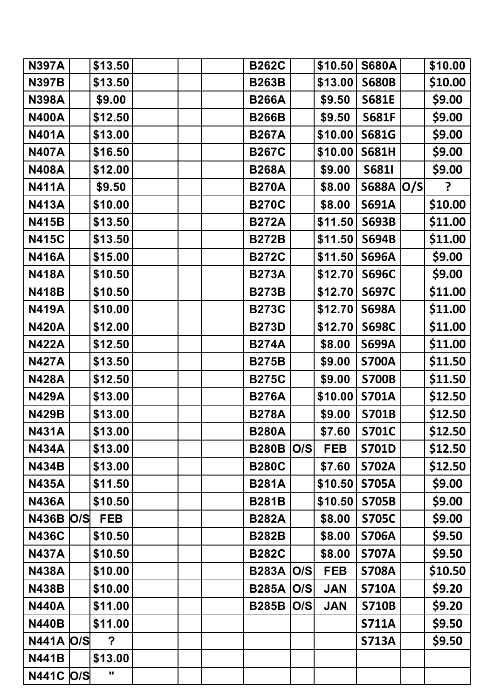| <b>N397A</b>     | \$13.50    |  | <b>B262C</b> |     | \$10.50    | <b>S680A</b>       | \$10.00 |
|------------------|------------|--|--------------|-----|------------|--------------------|---------|
| <b>N397B</b>     | \$13.50    |  | <b>B263B</b> |     | \$13.00    | <b>S680B</b>       | \$10.00 |
| <b>N398A</b>     | \$9.00     |  | <b>B266A</b> |     | \$9.50     | <b>S681E</b>       | \$9.00  |
| <b>N400A</b>     | \$12.50    |  | <b>B266B</b> |     | \$9.50     | <b>S681F</b>       | \$9.00  |
| <b>N401A</b>     | \$13.00    |  | <b>B267A</b> |     | \$10.00    | <b>S681G</b>       | \$9.00  |
| <b>N407A</b>     | \$16.50    |  | <b>B267C</b> |     | \$10.00    | <b>S681H</b>       | \$9.00  |
| <b>N408A</b>     | \$12.00    |  | <b>B268A</b> |     | \$9.00     | <b>S6811</b>       | \$9.00  |
| <b>N411A</b>     | \$9.50     |  | <b>B270A</b> |     | \$8.00     | <b>S688A  O/S </b> | ?       |
| <b>N413A</b>     | \$10.00    |  | <b>B270C</b> |     | \$8.00     | <b>S691A</b>       | \$10.00 |
| <b>N415B</b>     | \$13.50    |  | <b>B272A</b> |     | \$11.50    | <b>S693B</b>       | \$11.00 |
| <b>N415C</b>     | \$13.50    |  | <b>B272B</b> |     | \$11.50    | <b>S694B</b>       | \$11.00 |
| <b>N416A</b>     | \$15.00    |  | <b>B272C</b> |     | \$11.50    | <b>S696A</b>       | \$9.00  |
| <b>N418A</b>     | \$10.50    |  | <b>B273A</b> |     | \$12.70    | <b>S696C</b>       | \$9.00  |
| <b>N418B</b>     | \$10.50    |  | <b>B273B</b> |     | \$12.70    | <b>S697C</b>       | \$11.00 |
| <b>N419A</b>     | \$10.00    |  | <b>B273C</b> |     | \$12.70    | <b>S698A</b>       | \$11.00 |
| <b>N420A</b>     | \$12.00    |  | <b>B273D</b> |     | \$12.70    | <b>S698C</b>       | \$11.00 |
| <b>N422A</b>     | \$12.50    |  | <b>B274A</b> |     | \$8.00     | <b>S699A</b>       | \$11.00 |
| <b>N427A</b>     | \$13.50    |  | <b>B275B</b> |     | \$9.00     | <b>S700A</b>       | \$11.50 |
| <b>N428A</b>     | \$12.50    |  | <b>B275C</b> |     | \$9.00     | <b>S700B</b>       | \$11.50 |
| <b>N429A</b>     | \$13.00    |  | <b>B276A</b> |     | \$10.00    | <b>S701A</b>       | \$12.50 |
| <b>N429B</b>     | \$13.00    |  | <b>B278A</b> |     | \$9.00     | <b>S701B</b>       | \$12.50 |
| <b>N431A</b>     | \$13.00    |  | <b>B280A</b> |     | \$7.60     | <b>S701C</b>       | \$12.50 |
| <b>N434A</b>     | \$13.00    |  | <b>B280B</b> | O/S | <b>FEB</b> | <b>S701D</b>       | \$12.50 |
| <b>N434B</b>     | \$13.00    |  | <b>B280C</b> |     | \$7.60     | <b>S702A</b>       | \$12.50 |
| <b>N435A</b>     | \$11.50    |  | <b>B281A</b> |     | \$10.50    | <b>S705A</b>       | \$9.00  |
| <b>N436A</b>     | \$10.50    |  | <b>B281B</b> |     | \$10.50    | <b>S705B</b>       | \$9.00  |
| <b>N436B O/S</b> | <b>FEB</b> |  | <b>B282A</b> |     | \$8.00     | <b>S705C</b>       | \$9.00  |
| <b>N436C</b>     | \$10.50    |  | <b>B282B</b> |     | \$8.00     | <b>S706A</b>       | \$9.50  |
| <b>N437A</b>     | \$10.50    |  | <b>B282C</b> |     | \$8.00     | <b>S707A</b>       | \$9.50  |
| <b>N438A</b>     | \$10.00    |  | <b>B283A</b> | O/S | <b>FEB</b> | <b>S708A</b>       | \$10.50 |
| <b>N438B</b>     | \$10.00    |  | <b>B285A</b> | O/S | <b>JAN</b> | <b>S710A</b>       | \$9.20  |
| <b>N440A</b>     | \$11.00    |  | <b>B285B</b> | O/S | <b>JAN</b> | <b>S710B</b>       | \$9.20  |
| <b>N440B</b>     | \$11.00    |  |              |     |            | <b>S711A</b>       | \$9.50  |
| <b>N441A O/S</b> | ?          |  |              |     |            | <b>S713A</b>       | \$9.50  |
| <b>N441B</b>     | \$13.00    |  |              |     |            |                    |         |
| <b>N441C O/S</b> | "          |  |              |     |            |                    |         |